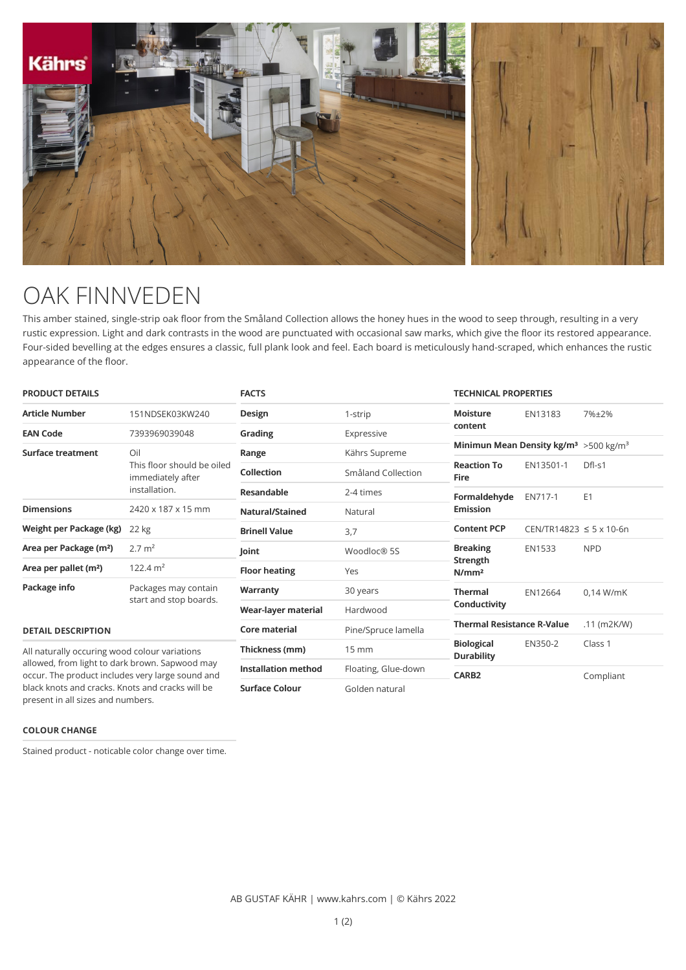

## OAK FINNVEDEN

This amber stained, single-strip oak floor from the Småland Collection allows the honey hues in the wood to seep through, resulting in a very rustic expression. Light and dark contrasts in the wood are punctuated with occasional saw marks, which give the floor its restored appearance. Four-sided bevelling at the edges ensures a classic, full plank look and feel. Each board is meticulously hand-scraped, which enhances the rustic appearance of the floor.

| <b>PRODUCT DETAILS</b>                                                                                                                                                                                                                       |                                                                         | <b>FACTS</b>               |                     | <b>TECHNICAL PROPERTIES</b>                                    |                                   |                |
|----------------------------------------------------------------------------------------------------------------------------------------------------------------------------------------------------------------------------------------------|-------------------------------------------------------------------------|----------------------------|---------------------|----------------------------------------------------------------|-----------------------------------|----------------|
| <b>Article Number</b>                                                                                                                                                                                                                        | 151NDSEK03KW240                                                         | Design                     | 1-strip             | <b>Moisture</b>                                                | EN13183                           | 7%±2%          |
| <b>EAN Code</b>                                                                                                                                                                                                                              | 7393969039048                                                           | Grading                    | Expressive          | content                                                        |                                   |                |
| <b>Surface treatment</b>                                                                                                                                                                                                                     | Oil<br>This floor should be oiled<br>immediately after<br>installation. | Range                      | Kährs Supreme       | Minimun Mean Density kg/m <sup>3</sup> > 500 kg/m <sup>3</sup> |                                   |                |
|                                                                                                                                                                                                                                              |                                                                         | Collection                 | Småland Collection  | <b>Reaction To</b><br><b>Fire</b>                              | EN13501-1                         | $DfI-S1$       |
|                                                                                                                                                                                                                                              |                                                                         | <b>Resandable</b>          | 2-4 times           | Formaldehyde<br><b>Emission</b>                                | EN717-1                           | E <sub>1</sub> |
| <b>Dimensions</b>                                                                                                                                                                                                                            | 2420 x 187 x 15 mm                                                      | Natural/Stained            | Natural             |                                                                |                                   |                |
| Weight per Package (kg)                                                                                                                                                                                                                      | 22 kg                                                                   | <b>Brinell Value</b>       | 3,7                 | <b>Content PCP</b>                                             | $CEN/TR14823 \le 5 \times 10.6$ n |                |
| Area per Package (m <sup>2</sup> )                                                                                                                                                                                                           | $2.7 \text{ m}^2$                                                       | Joint                      | Woodloc® 5S         | <b>Breaking</b>                                                | <b>EN1533</b>                     | <b>NPD</b>     |
| Area per pallet (m <sup>2</sup> )                                                                                                                                                                                                            | $122.4 \text{ m}^2$                                                     | <b>Floor heating</b>       | Yes                 | Strength<br>N/mm <sup>2</sup>                                  |                                   |                |
| Package info                                                                                                                                                                                                                                 | Packages may contain<br>start and stop boards.                          | Warranty                   | 30 years            | <b>Thermal</b>                                                 | EN12664                           | $0.14$ W/mK    |
|                                                                                                                                                                                                                                              |                                                                         | Wear-layer material        | Hardwood            | Conductivity                                                   |                                   |                |
| <b>DETAIL DESCRIPTION</b>                                                                                                                                                                                                                    |                                                                         | <b>Core material</b>       | Pine/Spruce lamella | <b>Thermal Resistance R-Value</b>                              |                                   | $.11$ (m2K/W)  |
| All naturally occuring wood colour variations<br>allowed, from light to dark brown. Sapwood may<br>occur. The product includes very large sound and<br>black knots and cracks. Knots and cracks will be<br>present in all sizes and numbers. |                                                                         | Thickness (mm)             | $15 \text{ mm}$     | <b>Biological</b><br><b>Durability</b>                         | EN350-2                           | Class 1        |
|                                                                                                                                                                                                                                              |                                                                         | <b>Installation method</b> | Floating, Glue-down | CARB <sub>2</sub>                                              |                                   | Compliant      |
|                                                                                                                                                                                                                                              |                                                                         | <b>Surface Colour</b>      | Golden natural      |                                                                |                                   |                |

## **COLOUR CHANGE**

Stained product - noticable color change over time.